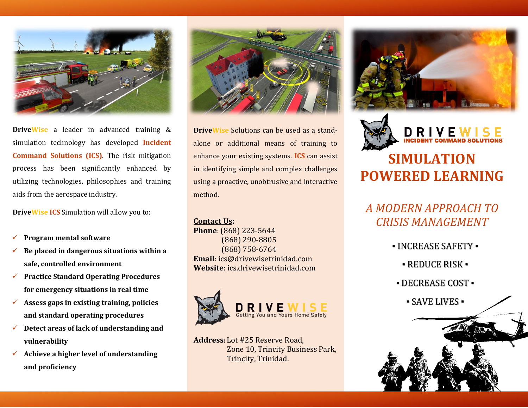

**DriveWise** a leader in advanced training & simulation technology has developed **Incident Command Solutions (ICS)**. The risk mitigation process has been significantly enhanced by utilizing technologies, philosophies and training aids from the aerospace industry.

**DriveWise ICS** Simulation will allow you to:

- ✓ **Program mental software**
- ✓ **Be placed in dangerous situations within a safe, controlled environment**
- ✓ **Practice Standard Operating Procedures for emergency situations in real time**
- ✓ **Assess gaps in existing training, policies and standard operating procedures**
- ✓ **Detect areas of lack of understanding and vulnerability**
- ✓ **Achieve a higher level of understanding and proficiency**



**DriveWise** Solutions can be used as a standalone or additional means of training to enhance your existing systems. **ICS** can assist in identifying simple and complex challenges using a proactive, unobtrusive and interactive method.

#### **Contact Us:**

**Phone**: (868) 223-5644 (868) 290-8805 (868) 758-6764 **Email**: ics@drivewisetrinidad.com **Website**: ics.drivewisetrinidad.com



**Address:** Lot #25 Reserve Road, Zone 10, Trincity Business Park, Trincity, Trinidad.





# **SIMULATION POWERED LEARNING**

# *A MODERN APPROACH TO CRISIS MANAGEMENT*

- INCREASE SAFETY
	- REDUCE RISK ▪
	- DECREASE COST
		- SAVE LIVES ▪